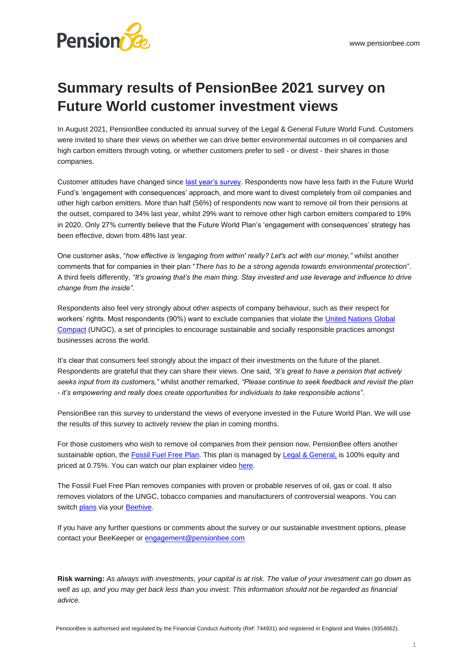## **Summary results of PensionBee 2021 survey on Future World customer investment views**

In August 2021, PensionBee conducted its annual survey of the Legal & General Future World Fund. Customers were invited to share their views on whether we can drive better environmental outcomes in oil companies and high carbon emitters through voting, or whether customers prefer to sell - or divest - their shares in those companies.

Customer attitudes have changed sinc[e last year's survey.](https://www.pensionbee.com/resources/future-world-fund-investment-views-summary.pdf) Respondents now have less faith in the Future World Fund's 'engagement with consequences' approach, and more want to divest completely from oil companies and other high carbon emitters. More than half (56%) of respondents now want to remove oil from their pensions at the outset, compared to 34% last year, whilst 29% want to remove other high carbon emitters compared to 19% in 2020. Only 27% currently believe that the Future World Plan's 'engagement with consequences' strategy has been effective, down from 48% last year.

One customer asks, "*how effective is 'engaging from within' really? Let's act with our money,"* whilst another comments that for companies in their plan "*There has to be a strong agenda towards environmental protection*". A third feels differently, *"It's growing that's the main thing. Stay invested and use leverage and influence to drive change from the inside".*

Respondents also feel very strongly about other aspects of company behaviour, such as their respect for workers' rights. Most respondents (90%) want to exclude companies that violate th[e United Nations Global](https://www.unglobalcompact.org/)  [Compact](https://www.unglobalcompact.org/) (UNGC), a set of principles to encourage sustainable and socially responsible practices amongst businesses across the world.

It's clear that consumers feel strongly about the impact of their investments on the future of the planet. Respondents are grateful that they can share their views. One said, *"it's great to have a pension that actively seeks input from its customers,"* whilst another remarked, *"Please continue to seek feedback and revisit the plan - it's empowering and really does create opportunities for individuals to take responsible actions".*

PensionBee ran this survey to understand the views of everyone invested in the Future World Plan. We will use the results of this survey to actively review the plan in coming months.

For those customers who wish to remove oil companies from their pension now, PensionBee offers another sustainable option, th[e Fossil Fuel Free Plan.](https://www.pensionbee.com/fossil-fuel-free-pension) This plan is managed b[y Legal & General,](https://fundcentres.lgim.com/uk/en/fund-centre/PMC/FTSE-TPI-Global-ex-Fossil-Fuels-Equity-Index-Fund/) is 100% equity and priced at 0.75%. You can watch our plan explainer video [here.](https://res.cloudinary.com/pensionbee/video/upload/c_scale,w_1024/q_auto/v1607941519/Videos/Plan%20Explanation%20Videos/2020%20Videos/Pensionbee_-_Fossil_Fuel_Free_Plan_-_Master_COMP.mp4)

The Fossil Fuel Free Plan removes companies with proven or probable reserves of oil, gas or coal. It also removes violators of the UNGC, tobacco companies and manufacturers of controversial weapons. You can switc[h plans](https://www.pensionbee.com/plans) via you[r Beehive.](https://www.pensionbee.com/beehive/dashboard/my-plan)

If you have any further questions or comments about the survey or our sustainable investment options, please contact your BeeKeeper o[r engagement@pensionbee.com](mailto:engagement@pensionbee.com)

**Risk warning:** *As always with investments, your capital is at risk. The value of your investment can go down as*  well as up, and you may get back less than you invest. This information should not be regarded as financial *advice.*

PensionBee is authorised and regulated by the Financial Conduct Authority (Ref: 744931) and registered in England and Wales (9354862).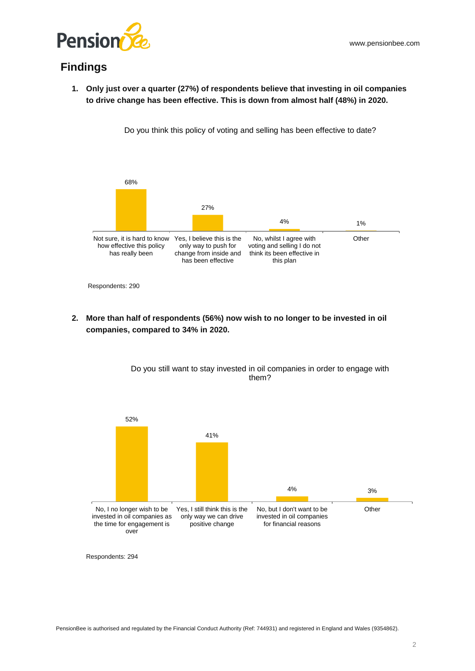

## **Findings**

**1. Only just over a quarter (27%) of respondents believe that investing in oil companies to drive change has been effective. This is down from almost half (48%) in 2020.** 

Do you think this policy of voting and selling has been effective to date?





**2. More than half of respondents (56%) now wish to no longer to be invested in oil companies, compared to 34% in 2020.** 



Do you still want to stay invested in oil companies in order to engage with them?

Respondents: 294